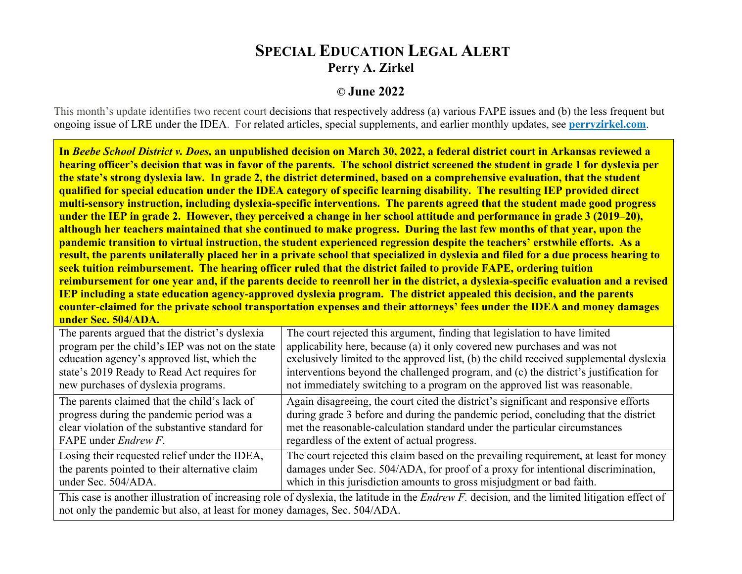## **SPECIAL EDUCATION LEGAL ALERT Perry A. Zirkel**

## **© June 2022**

This month's update identifies two recent court decisions that respectively address (a) various FAPE issues and (b) the less frequent but ongoing issue of LRE under the IDEA. For related articles, special supplements, and earlier monthly updates, see **[perryzirkel.com](http://www.perryzirkel.com)**.

**In** *Beebe School District v. Does,* **an unpublished decision on March 30, 2022, a federal district court in Arkansas reviewed a hearing officer's decision that was in favor of the parents. The school district screened the student in grade 1 for dyslexia per the state's strong dyslexia law. In grade 2, the district determined, based on a comprehensive evaluation, that the student qualified for special education under the IDEA category of specific learning disability. The resulting IEP provided direct multi-sensory instruction, including dyslexia-specific interventions. The parents agreed that the student made good progress under the IEP in grade 2. However, they perceived a change in her school attitude and performance in grade 3 (2019–20), although her teachers maintained that she continued to make progress. During the last few months of that year, upon the pandemic transition to virtual instruction, the student experienced regression despite the teachers' erstwhile efforts. As a result, the parents unilaterally placed her in a private school that specialized in dyslexia and filed for a due process hearing to seek tuition reimbursement. The hearing officer ruled that the district failed to provide FAPE, ordering tuition reimbursement for one year and, if the parents decide to reenroll her in the district, a dyslexia-specific evaluation and a revised IEP including a state education agency-approved dyslexia program. The district appealed this decision, and the parents counter-claimed for the private school transportation expenses and their attorneys' fees under the IDEA and money damages under Sec. 504/ADA.**

| The parents argued that the district's dyslexia                                                                                                                                                                   | The court rejected this argument, finding that legislation to have limited                                                                                                                                                                                                                               |
|-------------------------------------------------------------------------------------------------------------------------------------------------------------------------------------------------------------------|----------------------------------------------------------------------------------------------------------------------------------------------------------------------------------------------------------------------------------------------------------------------------------------------------------|
| program per the child's IEP was not on the state                                                                                                                                                                  | applicability here, because (a) it only covered new purchases and was not                                                                                                                                                                                                                                |
| education agency's approved list, which the                                                                                                                                                                       | exclusively limited to the approved list, (b) the child received supplemental dyslexia                                                                                                                                                                                                                   |
| state's 2019 Ready to Read Act requires for                                                                                                                                                                       | interventions beyond the challenged program, and (c) the district's justification for                                                                                                                                                                                                                    |
| new purchases of dyslexia programs.                                                                                                                                                                               | not immediately switching to a program on the approved list was reasonable.                                                                                                                                                                                                                              |
| The parents claimed that the child's lack of<br>progress during the pandemic period was a<br>clear violation of the substantive standard for<br>FAPE under <i>Endrew F</i> .                                      | Again disagreeing, the court cited the district's significant and responsive efforts<br>during grade 3 before and during the pandemic period, concluding that the district<br>met the reasonable-calculation standard under the particular circumstances<br>regardless of the extent of actual progress. |
| Losing their requested relief under the IDEA,<br>the parents pointed to their alternative claim<br>under Sec. 504/ADA.                                                                                            | The court rejected this claim based on the prevailing requirement, at least for money<br>damages under Sec. 504/ADA, for proof of a proxy for intentional discrimination,<br>which in this jurisdiction amounts to gross misjudgment or bad faith.                                                       |
| This case is another illustration of increasing role of dyslexia, the latitude in the <i>Endrew F</i> . decision, and the limited litigation effect of<br>$\left(1, 1, 1, 1, 1, 1, 1, 1, 0, 1, 0, 0, 0, 1\right)$ |                                                                                                                                                                                                                                                                                                          |

not only the pandemic but also, at least for money damages, Sec. 504/ADA.